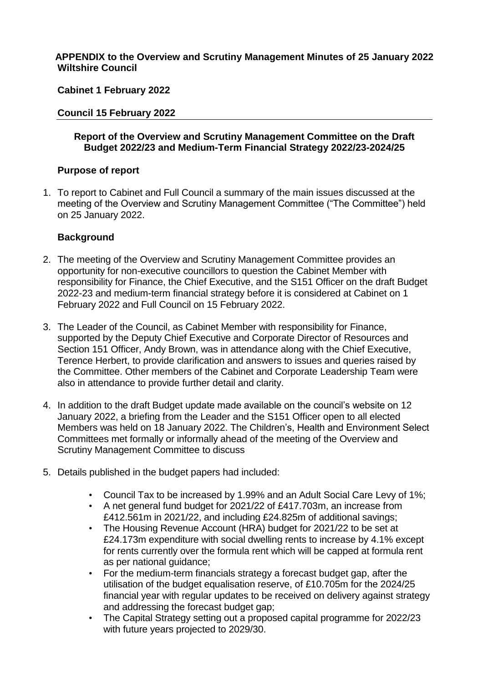# **APPENDIX to the Overview and Scrutiny Management Minutes of 25 January 2022 Wiltshire Council**

# **Cabinet 1 February 2022**

# **Council 15 February 2022**

# **Report of the Overview and Scrutiny Management Committee on the Draft Budget 2022/23 and Medium-Term Financial Strategy 2022/23-2024/25**

# **Purpose of report**

1. To report to Cabinet and Full Council a summary of the main issues discussed at the meeting of the Overview and Scrutiny Management Committee ("The Committee") held on 25 January 2022.

# **Background**

- 2. The meeting of the Overview and Scrutiny Management Committee provides an opportunity for non-executive councillors to question the Cabinet Member with responsibility for Finance, the Chief Executive, and the S151 Officer on the draft Budget 2022-23 and medium-term financial strategy before it is considered at Cabinet on 1 February 2022 and Full Council on 15 February 2022.
- 3. The Leader of the Council, as Cabinet Member with responsibility for Finance, supported by the Deputy Chief Executive and Corporate Director of Resources and Section 151 Officer, Andy Brown, was in attendance along with the Chief Executive, Terence Herbert, to provide clarification and answers to issues and queries raised by the Committee. Other members of the Cabinet and Corporate Leadership Team were also in attendance to provide further detail and clarity.
- 4. In addition to the draft Budget update made available on the council's website on 12 January 2022, a briefing from the Leader and the S151 Officer open to all elected Members was held on 18 January 2022. The Children's, Health and Environment Select Committees met formally or informally ahead of the meeting of the Overview and Scrutiny Management Committee to discuss
- 5. Details published in the budget papers had included:
	- Council Tax to be increased by 1.99% and an Adult Social Care Levy of 1%;
	- A net general fund budget for 2021/22 of £417.703m, an increase from £412.561m in 2021/22, and including £24.825m of additional savings;
	- The Housing Revenue Account (HRA) budget for 2021/22 to be set at £24.173m expenditure with social dwelling rents to increase by 4.1% except for rents currently over the formula rent which will be capped at formula rent as per national guidance;
	- For the medium-term financials strategy a forecast budget gap, after the utilisation of the budget equalisation reserve, of £10.705m for the 2024/25 financial year with regular updates to be received on delivery against strategy and addressing the forecast budget gap;
	- The Capital Strategy setting out a proposed capital programme for 2022/23 with future years projected to 2029/30.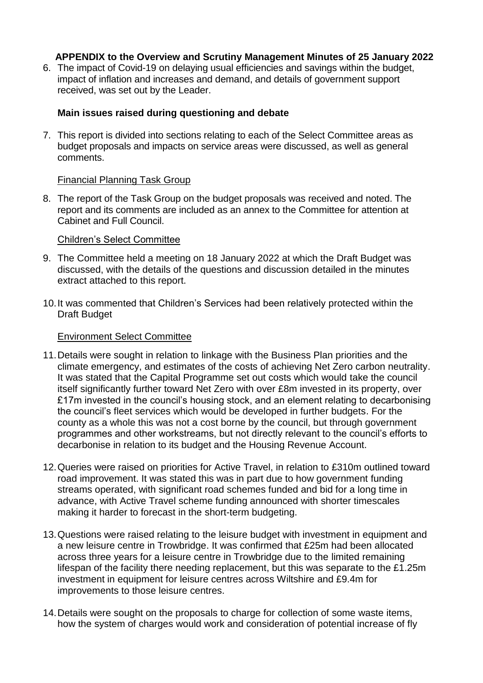6. The impact of Covid-19 on delaying usual efficiencies and savings within the budget, impact of inflation and increases and demand, and details of government support received, was set out by the Leader.

# **Main issues raised during questioning and debate**

7. This report is divided into sections relating to each of the Select Committee areas as budget proposals and impacts on service areas were discussed, as well as general comments.

# Financial Planning Task Group

8. The report of the Task Group on the budget proposals was received and noted. The report and its comments are included as an annex to the Committee for attention at Cabinet and Full Council.

# Children's Select Committee

- 9. The Committee held a meeting on 18 January 2022 at which the Draft Budget was discussed, with the details of the questions and discussion detailed in the minutes extract attached to this report.
- 10.It was commented that Children's Services had been relatively protected within the Draft Budget

# Environment Select Committee

- 11.Details were sought in relation to linkage with the Business Plan priorities and the climate emergency, and estimates of the costs of achieving Net Zero carbon neutrality. It was stated that the Capital Programme set out costs which would take the council itself significantly further toward Net Zero with over £8m invested in its property, over £17m invested in the council's housing stock, and an element relating to decarbonising the council's fleet services which would be developed in further budgets. For the county as a whole this was not a cost borne by the council, but through government programmes and other workstreams, but not directly relevant to the council's efforts to decarbonise in relation to its budget and the Housing Revenue Account.
- 12.Queries were raised on priorities for Active Travel, in relation to £310m outlined toward road improvement. It was stated this was in part due to how government funding streams operated, with significant road schemes funded and bid for a long time in advance, with Active Travel scheme funding announced with shorter timescales making it harder to forecast in the short-term budgeting.
- 13.Questions were raised relating to the leisure budget with investment in equipment and a new leisure centre in Trowbridge. It was confirmed that £25m had been allocated across three years for a leisure centre in Trowbridge due to the limited remaining lifespan of the facility there needing replacement, but this was separate to the £1.25m investment in equipment for leisure centres across Wiltshire and £9.4m for improvements to those leisure centres.
- 14.Details were sought on the proposals to charge for collection of some waste items, how the system of charges would work and consideration of potential increase of fly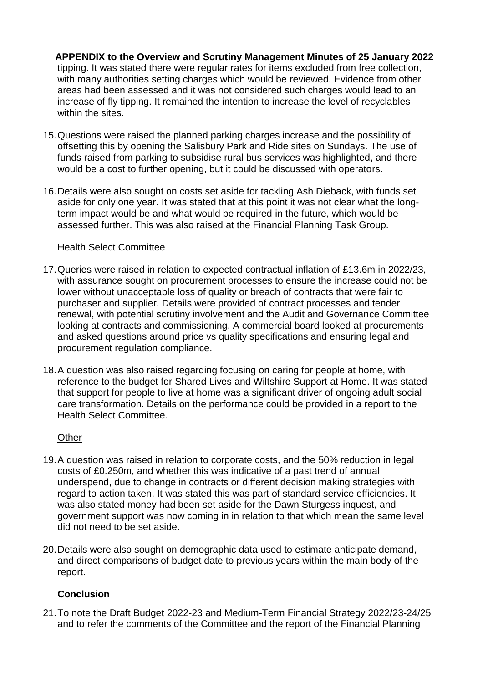**APPENDIX to the Overview and Scrutiny Management Minutes of 25 January 2022** tipping. It was stated there were regular rates for items excluded from free collection, with many authorities setting charges which would be reviewed. Evidence from other areas had been assessed and it was not considered such charges would lead to an increase of fly tipping. It remained the intention to increase the level of recyclables within the sites.

- 15.Questions were raised the planned parking charges increase and the possibility of offsetting this by opening the Salisbury Park and Ride sites on Sundays. The use of funds raised from parking to subsidise rural bus services was highlighted, and there would be a cost to further opening, but it could be discussed with operators.
- 16.Details were also sought on costs set aside for tackling Ash Dieback, with funds set aside for only one year. It was stated that at this point it was not clear what the longterm impact would be and what would be required in the future, which would be assessed further. This was also raised at the Financial Planning Task Group.

# Health Select Committee

- 17.Queries were raised in relation to expected contractual inflation of £13.6m in 2022/23, with assurance sought on procurement processes to ensure the increase could not be lower without unacceptable loss of quality or breach of contracts that were fair to purchaser and supplier. Details were provided of contract processes and tender renewal, with potential scrutiny involvement and the Audit and Governance Committee looking at contracts and commissioning. A commercial board looked at procurements and asked questions around price vs quality specifications and ensuring legal and procurement regulation compliance.
- 18.A question was also raised regarding focusing on caring for people at home, with reference to the budget for Shared Lives and Wiltshire Support at Home. It was stated that support for people to live at home was a significant driver of ongoing adult social care transformation. Details on the performance could be provided in a report to the Health Select Committee.

# **Other**

- 19.A question was raised in relation to corporate costs, and the 50% reduction in legal costs of £0.250m, and whether this was indicative of a past trend of annual underspend, due to change in contracts or different decision making strategies with regard to action taken. It was stated this was part of standard service efficiencies. It was also stated money had been set aside for the Dawn Sturgess inquest, and government support was now coming in in relation to that which mean the same level did not need to be set aside.
- 20.Details were also sought on demographic data used to estimate anticipate demand, and direct comparisons of budget date to previous years within the main body of the report.

# **Conclusion**

21.To note the Draft Budget 2022-23 and Medium-Term Financial Strategy 2022/23-24/25 and to refer the comments of the Committee and the report of the Financial Planning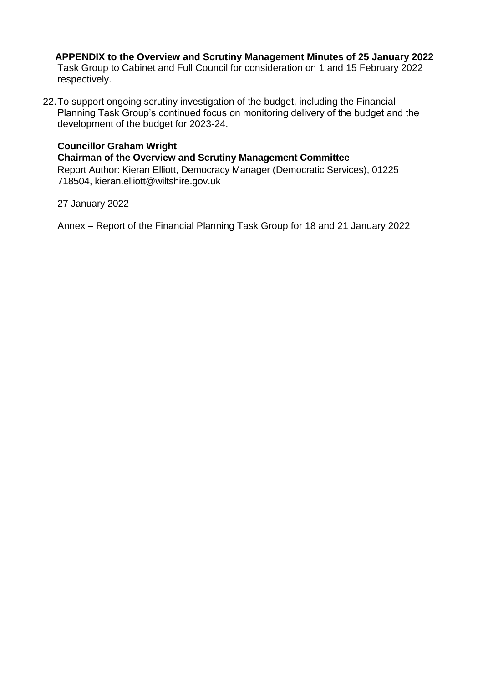**APPENDIX to the Overview and Scrutiny Management Minutes of 25 January 2022** Task Group to Cabinet and Full Council for consideration on 1 and 15 February 2022 respectively.

22.To support ongoing scrutiny investigation of the budget, including the Financial Planning Task Group's continued focus on monitoring delivery of the budget and the development of the budget for 2023-24.

# **Councillor Graham Wright Chairman of the Overview and Scrutiny Management Committee**

Report Author: Kieran Elliott, Democracy Manager (Democratic Services), 01225 718504, [kieran.elliott@wiltshire.gov.uk](mailto:kieran.elliott@wiltshire.gov.uk)

27 January 2022

Annex – Report of the Financial Planning Task Group for 18 and 21 January 2022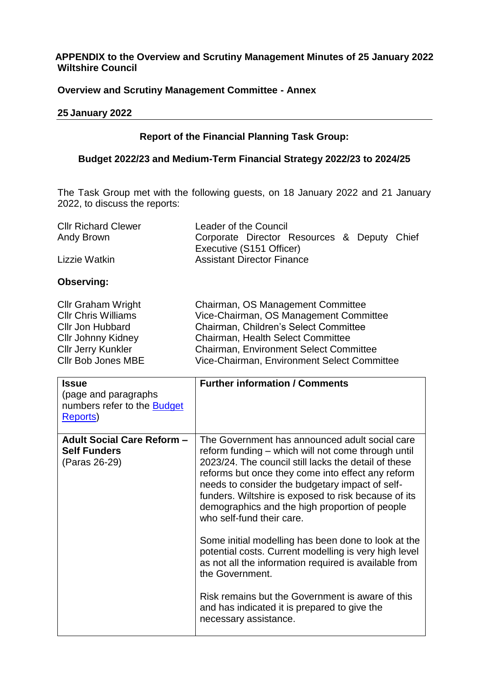# **APPENDIX to the Overview and Scrutiny Management Minutes of 25 January 2022 Wiltshire Council**

# **Overview and Scrutiny Management Committee - Annex**

#### **25 January 2022**

# **Report of the Financial Planning Task Group:**

# **Budget 2022/23 and Medium-Term Financial Strategy 2022/23 to 2024/25**

The Task Group met with the following guests, on 18 January 2022 and 21 January 2022, to discuss the reports:

| <b>CIIr Richard Clewer</b> | Leader of the Council                       |  |  |  |
|----------------------------|---------------------------------------------|--|--|--|
| Andy Brown                 | Corporate Director Resources & Deputy Chief |  |  |  |
|                            | Executive (S151 Officer)                    |  |  |  |
| Lizzie Watkin              | <b>Assistant Director Finance</b>           |  |  |  |

#### **Observing:**

| Chairman, OS Management Committee             |
|-----------------------------------------------|
| Vice-Chairman, OS Management Committee        |
| Chairman, Children's Select Committee         |
| <b>Chairman, Health Select Committee</b>      |
| <b>Chairman, Environment Select Committee</b> |
| Vice-Chairman, Environment Select Committee   |
|                                               |

| <b>Issue</b>                       | <b>Further information / Comments</b>                                                                                                                                                                                                                                                               |
|------------------------------------|-----------------------------------------------------------------------------------------------------------------------------------------------------------------------------------------------------------------------------------------------------------------------------------------------------|
| (page and paragraphs)              |                                                                                                                                                                                                                                                                                                     |
| numbers refer to the <b>Budget</b> |                                                                                                                                                                                                                                                                                                     |
| Reports)                           |                                                                                                                                                                                                                                                                                                     |
| <b>Adult Social Care Reform -</b>  | The Government has announced adult social care                                                                                                                                                                                                                                                      |
| <b>Self Funders</b>                | reform funding – which will not come through until                                                                                                                                                                                                                                                  |
| (Paras 26-29)                      | 2023/24. The council still lacks the detail of these<br>reforms but once they come into effect any reform<br>needs to consider the budgetary impact of self-<br>funders. Wiltshire is exposed to risk because of its<br>demographics and the high proportion of people<br>who self-fund their care. |
|                                    | Some initial modelling has been done to look at the<br>potential costs. Current modelling is very high level<br>as not all the information required is available from<br>the Government.                                                                                                            |
|                                    | Risk remains but the Government is aware of this<br>and has indicated it is prepared to give the<br>necessary assistance.                                                                                                                                                                           |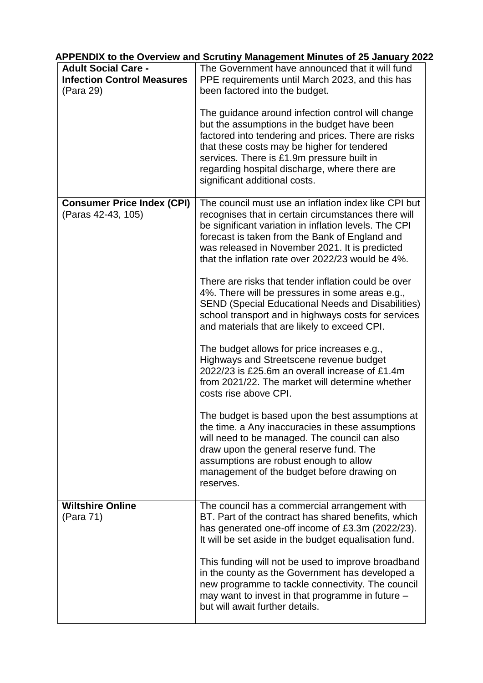| <b>Adult Social Care -</b><br><b>Infection Control Measures</b><br>(Para 29) | The Government have announced that it will fund<br>PPE requirements until March 2023, and this has<br>been factored into the budget.                                                                                                                                                                                                   |
|------------------------------------------------------------------------------|----------------------------------------------------------------------------------------------------------------------------------------------------------------------------------------------------------------------------------------------------------------------------------------------------------------------------------------|
|                                                                              | The guidance around infection control will change<br>but the assumptions in the budget have been<br>factored into tendering and prices. There are risks<br>that these costs may be higher for tendered<br>services. There is £1.9m pressure built in<br>regarding hospital discharge, where there are<br>significant additional costs. |
| <b>Consumer Price Index (CPI)</b><br>(Paras 42-43, 105)                      | The council must use an inflation index like CPI but<br>recognises that in certain circumstances there will<br>be significant variation in inflation levels. The CPI<br>forecast is taken from the Bank of England and<br>was released in November 2021. It is predicted<br>that the inflation rate over 2022/23 would be 4%.          |
|                                                                              | There are risks that tender inflation could be over<br>4%. There will be pressures in some areas e.g.,<br><b>SEND (Special Educational Needs and Disabilities)</b><br>school transport and in highways costs for services<br>and materials that are likely to exceed CPI.                                                              |
|                                                                              | The budget allows for price increases e.g.,<br>Highways and Streetscene revenue budget<br>2022/23 is £25.6m an overall increase of £1.4m<br>from 2021/22. The market will determine whether<br>costs rise above CPI.                                                                                                                   |
|                                                                              | The budget is based upon the best assumptions at<br>the time. a Any inaccuracies in these assumptions<br>will need to be managed. The council can also<br>draw upon the general reserve fund. The<br>assumptions are robust enough to allow<br>management of the budget before drawing on<br>reserves.                                 |
| <b>Wiltshire Online</b><br>(Para 71)                                         | The council has a commercial arrangement with<br>BT. Part of the contract has shared benefits, which<br>has generated one-off income of £3.3m (2022/23).<br>It will be set aside in the budget equalisation fund.                                                                                                                      |
|                                                                              | This funding will not be used to improve broadband<br>in the county as the Government has developed a<br>new programme to tackle connectivity. The council<br>may want to invest in that programme in future -<br>but will await further details.                                                                                      |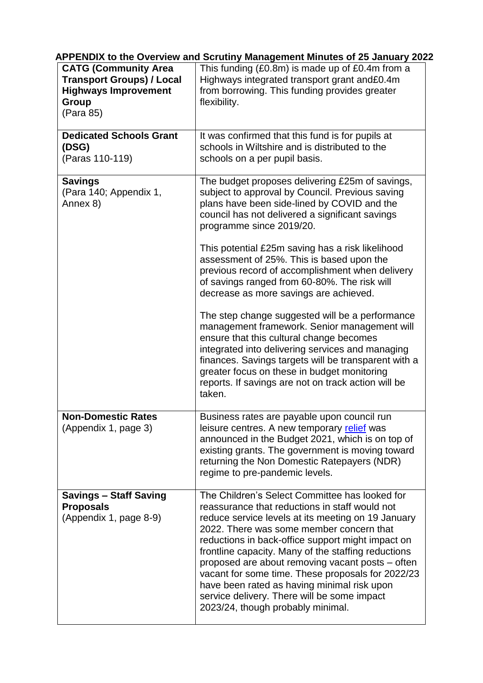| <b>CATG (Community Area</b><br><b>Transport Groups) / Local</b><br><b>Highways Improvement</b><br><b>Group</b><br>(Para 85) | This funding (£0.8m) is made up of £0.4m from a<br>Highways integrated transport grant and£0.4m<br>from borrowing. This funding provides greater<br>flexibility.                                                                                                                                                                                                                                                                                                                                                                                                                                                                                                                                                                                                                                                                                |
|-----------------------------------------------------------------------------------------------------------------------------|-------------------------------------------------------------------------------------------------------------------------------------------------------------------------------------------------------------------------------------------------------------------------------------------------------------------------------------------------------------------------------------------------------------------------------------------------------------------------------------------------------------------------------------------------------------------------------------------------------------------------------------------------------------------------------------------------------------------------------------------------------------------------------------------------------------------------------------------------|
| <b>Dedicated Schools Grant</b><br>(DSG)<br>(Paras 110-119)                                                                  | It was confirmed that this fund is for pupils at<br>schools in Wiltshire and is distributed to the<br>schools on a per pupil basis.                                                                                                                                                                                                                                                                                                                                                                                                                                                                                                                                                                                                                                                                                                             |
| <b>Savings</b><br>(Para 140; Appendix 1,<br>Annex 8)                                                                        | The budget proposes delivering £25m of savings,<br>subject to approval by Council. Previous saving<br>plans have been side-lined by COVID and the<br>council has not delivered a significant savings<br>programme since 2019/20.<br>This potential £25m saving has a risk likelihood<br>assessment of 25%. This is based upon the<br>previous record of accomplishment when delivery<br>of savings ranged from 60-80%. The risk will<br>decrease as more savings are achieved.<br>The step change suggested will be a performance<br>management framework. Senior management will<br>ensure that this cultural change becomes<br>integrated into delivering services and managing<br>finances. Savings targets will be transparent with a<br>greater focus on these in budget monitoring<br>reports. If savings are not on track action will be |
| <b>Non-Domestic Rates</b><br>(Appendix 1, page 3)                                                                           | taken.<br>Business rates are payable upon council run<br>leisure centres. A new temporary relief was<br>announced in the Budget 2021, which is on top of<br>existing grants. The government is moving toward<br>returning the Non Domestic Ratepayers (NDR)<br>regime to pre-pandemic levels.                                                                                                                                                                                                                                                                                                                                                                                                                                                                                                                                                   |
| <b>Savings - Staff Saving</b><br><b>Proposals</b><br>(Appendix 1, page 8-9)                                                 | The Children's Select Committee has looked for<br>reassurance that reductions in staff would not<br>reduce service levels at its meeting on 19 January<br>2022. There was some member concern that<br>reductions in back-office support might impact on<br>frontline capacity. Many of the staffing reductions<br>proposed are about removing vacant posts – often<br>vacant for some time. These proposals for 2022/23<br>have been rated as having minimal risk upon<br>service delivery. There will be some impact<br>2023/24, though probably minimal.                                                                                                                                                                                                                                                                                      |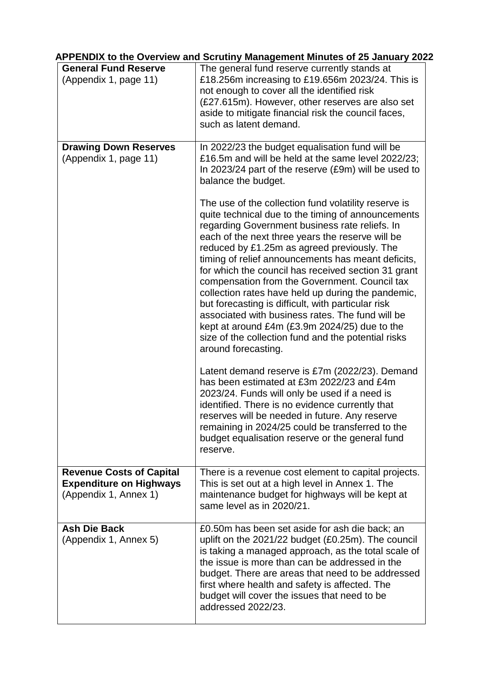| <b>General Fund Reserve</b>                                                                | The general fund reserve currently stands at                                                                                                                                                                                                                                                                                                                                                                                                                                                                                                                                                                                                                                                                                 |
|--------------------------------------------------------------------------------------------|------------------------------------------------------------------------------------------------------------------------------------------------------------------------------------------------------------------------------------------------------------------------------------------------------------------------------------------------------------------------------------------------------------------------------------------------------------------------------------------------------------------------------------------------------------------------------------------------------------------------------------------------------------------------------------------------------------------------------|
| (Appendix 1, page 11)                                                                      | £18.256m increasing to £19.656m 2023/24. This is<br>not enough to cover all the identified risk<br>(£27.615m). However, other reserves are also set<br>aside to mitigate financial risk the council faces,<br>such as latent demand.                                                                                                                                                                                                                                                                                                                                                                                                                                                                                         |
| <b>Drawing Down Reserves</b><br>(Appendix 1, page 11)                                      | In 2022/23 the budget equalisation fund will be<br>£16.5m and will be held at the same level 2022/23;<br>In 2023/24 part of the reserve (£9m) will be used to<br>balance the budget.                                                                                                                                                                                                                                                                                                                                                                                                                                                                                                                                         |
|                                                                                            | The use of the collection fund volatility reserve is<br>quite technical due to the timing of announcements<br>regarding Government business rate reliefs. In<br>each of the next three years the reserve will be<br>reduced by £1.25m as agreed previously. The<br>timing of relief announcements has meant deficits,<br>for which the council has received section 31 grant<br>compensation from the Government. Council tax<br>collection rates have held up during the pandemic,<br>but forecasting is difficult, with particular risk<br>associated with business rates. The fund will be<br>kept at around £4m (£3.9m 2024/25) due to the<br>size of the collection fund and the potential risks<br>around forecasting. |
|                                                                                            | Latent demand reserve is £7m (2022/23). Demand<br>has been estimated at £3m 2022/23 and £4m<br>2023/24. Funds will only be used if a need is<br>identified. There is no evidence currently that<br>reserves will be needed in future. Any reserve<br>remaining in 2024/25 could be transferred to the<br>budget equalisation reserve or the general fund<br>reserve.                                                                                                                                                                                                                                                                                                                                                         |
| <b>Revenue Costs of Capital</b><br><b>Expenditure on Highways</b><br>(Appendix 1, Annex 1) | There is a revenue cost element to capital projects.<br>This is set out at a high level in Annex 1. The<br>maintenance budget for highways will be kept at<br>same level as in 2020/21.                                                                                                                                                                                                                                                                                                                                                                                                                                                                                                                                      |
| <b>Ash Die Back</b><br>(Appendix 1, Annex 5)                                               | £0.50m has been set aside for ash die back; an<br>uplift on the 2021/22 budget (£0.25m). The council<br>is taking a managed approach, as the total scale of<br>the issue is more than can be addressed in the<br>budget. There are areas that need to be addressed<br>first where health and safety is affected. The<br>budget will cover the issues that need to be<br>addressed 2022/23.                                                                                                                                                                                                                                                                                                                                   |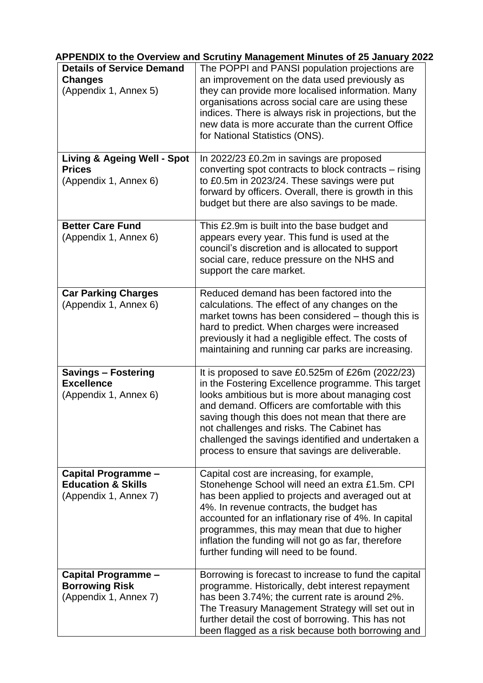| <b>Details of Service Demand</b>                                                 | --------- <u>-</u> ------<br>The POPPI and PANSI population projections are                                                                                                                                                                                                                                                                                                                                          |
|----------------------------------------------------------------------------------|----------------------------------------------------------------------------------------------------------------------------------------------------------------------------------------------------------------------------------------------------------------------------------------------------------------------------------------------------------------------------------------------------------------------|
| <b>Changes</b><br>(Appendix 1, Annex 5)                                          | an improvement on the data used previously as<br>they can provide more localised information. Many<br>organisations across social care are using these<br>indices. There is always risk in projections, but the<br>new data is more accurate than the current Office<br>for National Statistics (ONS).                                                                                                               |
| <b>Living &amp; Ageing Well - Spot</b><br><b>Prices</b><br>(Appendix 1, Annex 6) | In 2022/23 £0.2m in savings are proposed<br>converting spot contracts to block contracts – rising<br>to £0.5m in 2023/24. These savings were put<br>forward by officers. Overall, there is growth in this<br>budget but there are also savings to be made.                                                                                                                                                           |
| <b>Better Care Fund</b><br>(Appendix 1, Annex 6)                                 | This £2.9m is built into the base budget and<br>appears every year. This fund is used at the<br>council's discretion and is allocated to support<br>social care, reduce pressure on the NHS and<br>support the care market.                                                                                                                                                                                          |
| <b>Car Parking Charges</b><br>(Appendix 1, Annex 6)                              | Reduced demand has been factored into the<br>calculations. The effect of any changes on the<br>market towns has been considered – though this is<br>hard to predict. When charges were increased<br>previously it had a negligible effect. The costs of<br>maintaining and running car parks are increasing.                                                                                                         |
| <b>Savings - Fostering</b><br><b>Excellence</b><br>(Appendix 1, Annex 6)         | It is proposed to save £0.525m of £26m (2022/23)<br>in the Fostering Excellence programme. This target<br>looks ambitious but is more about managing cost<br>and demand. Officers are comfortable with this<br>saving though this does not mean that there are<br>not challenges and risks. The Cabinet has<br>challenged the savings identified and undertaken a<br>process to ensure that savings are deliverable. |
| Capital Programme -<br><b>Education &amp; Skills</b><br>(Appendix 1, Annex 7)    | Capital cost are increasing, for example,<br>Stonehenge School will need an extra £1.5m. CPI<br>has been applied to projects and averaged out at<br>4%. In revenue contracts, the budget has<br>accounted for an inflationary rise of 4%. In capital<br>programmes, this may mean that due to higher<br>inflation the funding will not go as far, therefore<br>further funding will need to be found.                |
| Capital Programme -<br><b>Borrowing Risk</b><br>(Appendix 1, Annex 7)            | Borrowing is forecast to increase to fund the capital<br>programme. Historically, debt interest repayment<br>has been 3.74%; the current rate is around 2%.<br>The Treasury Management Strategy will set out in<br>further detail the cost of borrowing. This has not<br>been flagged as a risk because both borrowing and                                                                                           |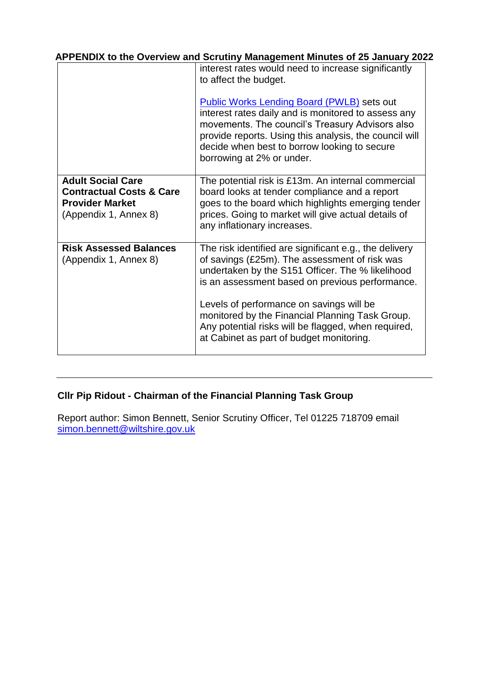|                                                                                                                    | interest rates would need to increase significantly<br>to affect the budget.<br><b>Public Works Lending Board (PWLB) sets out</b><br>interest rates daily and is monitored to assess any<br>movements. The council's Treasury Advisors also<br>provide reports. Using this analysis, the council will<br>decide when best to borrow looking to secure<br>borrowing at 2% or under.                               |
|--------------------------------------------------------------------------------------------------------------------|------------------------------------------------------------------------------------------------------------------------------------------------------------------------------------------------------------------------------------------------------------------------------------------------------------------------------------------------------------------------------------------------------------------|
| <b>Adult Social Care</b><br><b>Contractual Costs &amp; Care</b><br><b>Provider Market</b><br>(Appendix 1, Annex 8) | The potential risk is £13m. An internal commercial<br>board looks at tender compliance and a report<br>goes to the board which highlights emerging tender<br>prices. Going to market will give actual details of<br>any inflationary increases.                                                                                                                                                                  |
| <b>Risk Assessed Balances</b><br>(Appendix 1, Annex 8)                                                             | The risk identified are significant e.g., the delivery<br>of savings (£25m). The assessment of risk was<br>undertaken by the S151 Officer. The % likelihood<br>is an assessment based on previous performance.<br>Levels of performance on savings will be<br>monitored by the Financial Planning Task Group.<br>Any potential risks will be flagged, when required,<br>at Cabinet as part of budget monitoring. |

# **Cllr Pip Ridout - Chairman of the Financial Planning Task Group**

Report author: Simon Bennett, Senior Scrutiny Officer, Tel 01225 718709 email [simon.bennett@wiltshire.gov.uk](mailto:simon.bennett@wiltshire.gov.uk)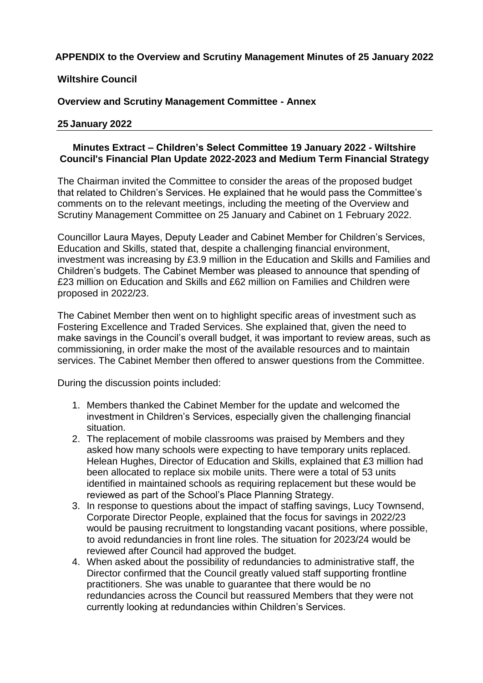# **Wiltshire Council**

**Overview and Scrutiny Management Committee - Annex**

#### **25 January 2022**

# **Minutes Extract – Children's Select Committee 19 January 2022 - Wiltshire Council's Financial Plan Update 2022-2023 and Medium Term Financial Strategy**

The Chairman invited the Committee to consider the areas of the proposed budget that related to Children's Services. He explained that he would pass the Committee's comments on to the relevant meetings, including the meeting of the Overview and Scrutiny Management Committee on 25 January and Cabinet on 1 February 2022.

Councillor Laura Mayes, Deputy Leader and Cabinet Member for Children's Services, Education and Skills, stated that, despite a challenging financial environment, investment was increasing by £3.9 million in the Education and Skills and Families and Children's budgets. The Cabinet Member was pleased to announce that spending of £23 million on Education and Skills and £62 million on Families and Children were proposed in 2022/23.

The Cabinet Member then went on to highlight specific areas of investment such as Fostering Excellence and Traded Services. She explained that, given the need to make savings in the Council's overall budget, it was important to review areas, such as commissioning, in order make the most of the available resources and to maintain services. The Cabinet Member then offered to answer questions from the Committee.

During the discussion points included:

- 1. Members thanked the Cabinet Member for the update and welcomed the investment in Children's Services, especially given the challenging financial situation.
- 2. The replacement of mobile classrooms was praised by Members and they asked how many schools were expecting to have temporary units replaced. Helean Hughes, Director of Education and Skills, explained that £3 million had been allocated to replace six mobile units. There were a total of 53 units identified in maintained schools as requiring replacement but these would be reviewed as part of the School's Place Planning Strategy.
- 3. In response to questions about the impact of staffing savings, Lucy Townsend, Corporate Director People, explained that the focus for savings in 2022/23 would be pausing recruitment to longstanding vacant positions, where possible, to avoid redundancies in front line roles. The situation for 2023/24 would be reviewed after Council had approved the budget.
- 4. When asked about the possibility of redundancies to administrative staff, the Director confirmed that the Council greatly valued staff supporting frontline practitioners. She was unable to guarantee that there would be no redundancies across the Council but reassured Members that they were not currently looking at redundancies within Children's Services.